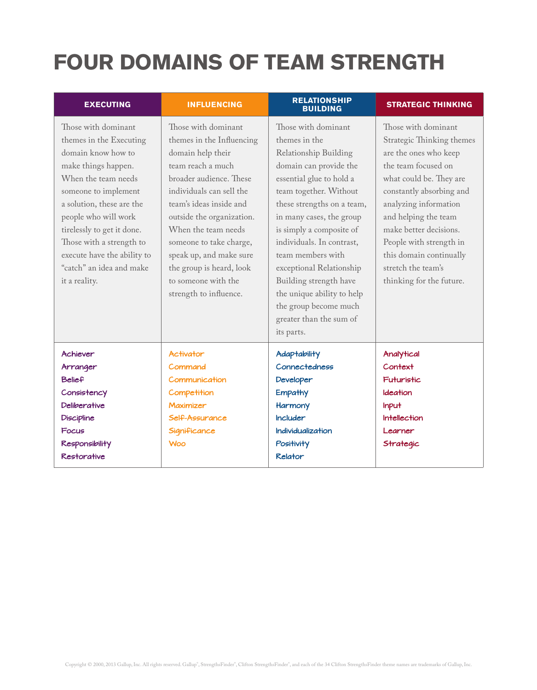## **FOUR DOMAINS OF TEAM STRENGTH**

| <b>EXECUTING</b>                                                                                                                                                                                                                                                                                                                      | <b>INFLUENCING</b>                                                                                                                                                                                                                                                                                                                                                  | <b>RELATIONSHIP</b><br><b>BUILDING</b>                                                                                                                                                                                                                                                                                                                                                                                                      | <b>STRATEGIC THINKING</b>                                                                                                                                                                                                                                                                                                                  |
|---------------------------------------------------------------------------------------------------------------------------------------------------------------------------------------------------------------------------------------------------------------------------------------------------------------------------------------|---------------------------------------------------------------------------------------------------------------------------------------------------------------------------------------------------------------------------------------------------------------------------------------------------------------------------------------------------------------------|---------------------------------------------------------------------------------------------------------------------------------------------------------------------------------------------------------------------------------------------------------------------------------------------------------------------------------------------------------------------------------------------------------------------------------------------|--------------------------------------------------------------------------------------------------------------------------------------------------------------------------------------------------------------------------------------------------------------------------------------------------------------------------------------------|
| Those with dominant<br>themes in the Executing<br>domain know how to<br>make things happen.<br>When the team needs<br>someone to implement<br>a solution, these are the<br>people who will work<br>tirelessly to get it done.<br>Those with a strength to<br>execute have the ability to<br>"catch" an idea and make<br>it a reality. | Those with dominant<br>themes in the Influencing<br>domain help their<br>team reach a much<br>broader audience. These<br>individuals can sell the<br>team's ideas inside and<br>outside the organization.<br>When the team needs<br>someone to take charge,<br>speak up, and make sure<br>the group is heard, look<br>to someone with the<br>strength to influence. | Those with dominant<br>themes in the<br>Relationship Building<br>domain can provide the<br>essential glue to hold a<br>team together. Without<br>these strengths on a team,<br>in many cases, the group<br>is simply a composite of<br>individuals. In contrast,<br>team members with<br>exceptional Relationship<br>Building strength have<br>the unique ability to help<br>the group become much<br>greater than the sum of<br>its parts. | Those with dominant<br>Strategic Thinking themes<br>are the ones who keep<br>the team focused on<br>what could be. They are<br>constantly absorbing and<br>analyzing information<br>and helping the team<br>make better decisions.<br>People with strength in<br>this domain continually<br>stretch the team's<br>thinking for the future. |
| Achiever<br>Arranger<br><b>Belief</b><br>Consistency<br><b>Deliberative</b><br><b>Discipline</b><br>Focus<br><b>Responsibility</b><br><b>Restorative</b>                                                                                                                                                                              | <b>Activator</b><br>Command<br>Communication<br>Competition<br><b>Maximizer</b><br>Self-Assurance<br>Significance<br><b>Woo</b>                                                                                                                                                                                                                                     | <b>Adaptability</b><br>Connectedness<br>Developer<br><b>Empathy</b><br>Harmony<br><b>Includer</b><br><b>Individualization</b><br>Positivity<br><b>Relator</b>                                                                                                                                                                                                                                                                               | Analytical<br><b>Context</b><br><b>Futuristic</b><br>Ideation<br><b>Input</b><br><b>Intellection</b><br>Learner<br>Strategic                                                                                                                                                                                                               |